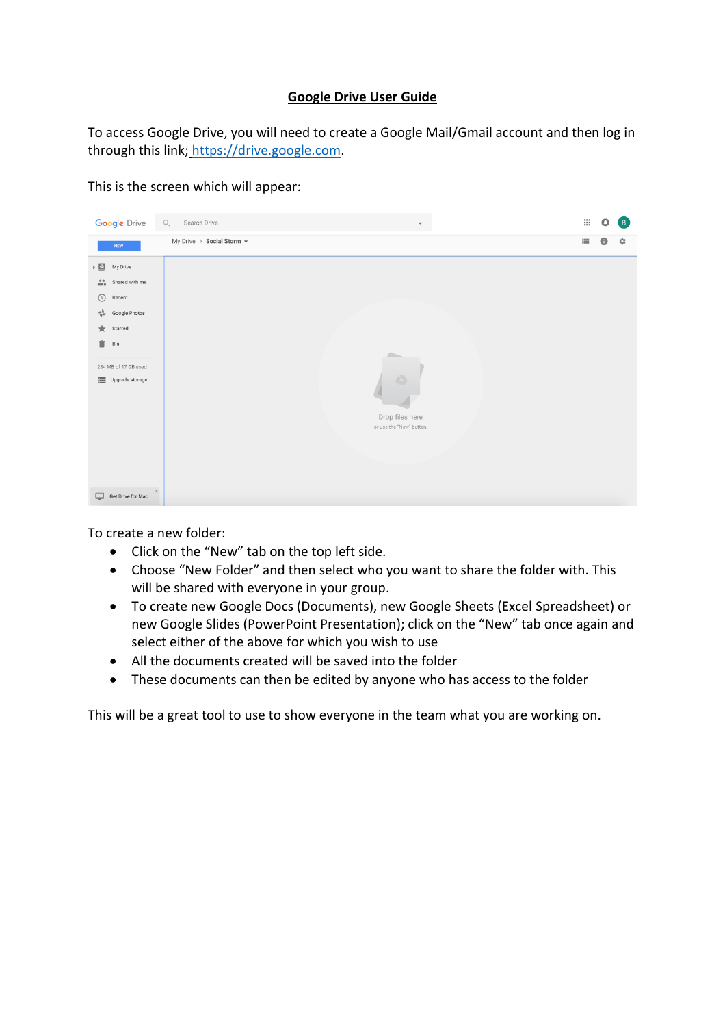## **Google Drive User Guide**

To access Google Drive, you will need to create a Google Mail/Gmail account and then log in through this link; [https://drive.google.com.](https://drive.google.com/)

This is the screen which will appear:



To create a new folder:

- Click on the "New" tab on the top left side.
- Choose "New Folder" and then select who you want to share the folder with. This will be shared with everyone in your group.
- To create new Google Docs (Documents), new Google Sheets (Excel Spreadsheet) or new Google Slides (PowerPoint Presentation); click on the "New" tab once again and select either of the above for which you wish to use
- All the documents created will be saved into the folder
- These documents can then be edited by anyone who has access to the folder

This will be a great tool to use to show everyone in the team what you are working on.